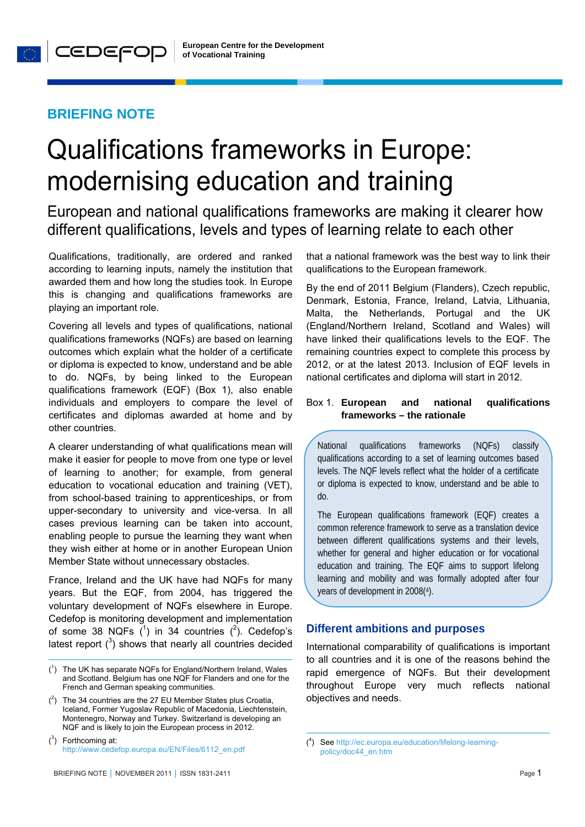## **BRIEFING NOTE**

# Qualifications frameworks in Europe: modernising education and training

European and national qualifications frameworks are making it clearer how different qualifications, levels and types of learning relate to each other

Qualifications, traditionally, are ordered and ranked according to learning inputs, namely the institution that awarded them and how long the studies took. In Europe this is changing and qualifications frameworks are playing an important role.

Covering all levels and types of qualifications, national qualifications frameworks (NQFs) are based on learning outcomes which explain what the holder of a certificate or diploma is expected to know, understand and be able to do. NQFs, by being linked to the European qualifications framework (EQF) (Box 1), also enable individuals and employers to compare the level of certificates and diplomas awarded at home and by other countries.

A clearer understanding of what qualifications mean will make it easier for people to move from one type or level of learning to another; for example, from general education to vocational education and training (VET), from school-based training to apprenticeships, or from upper-secondary to university and vice-versa. In all cases previous learning can be taken into account, enabling people to pursue the learning they want when they wish either at home or in another European Union Member State without unnecessary obstacles.

France, Ireland and the UK have had NQFs for many years. But the EQF, from 2004, has triggered the voluntary development of NQFs elsewhere in Europe. Cedefop is monitoring development and implementation of some 38 NQFs  $(^1)$  in 34 countries  $(^2)$ . Cedefop's latest report  $(^3)$  shows that nearly all countries decided

 $\overline{a}$ 

that a national framework was the best way to link their qualifications to the European framework.

By the end of 2011 Belgium (Flanders), Czech republic, Denmark, Estonia, France, Ireland, Latvia, Lithuania, Malta, the Netherlands, Portugal and the UK (England/Northern Ireland, Scotland and Wales) will have linked their qualifications levels to the EQF. The remaining countries expect to complete this process by 2012, or at the latest 2013. Inclusion of EQF levels in national certificates and diploma will start in 2012.

## Box 1. **European and national qualifications frameworks – the rationale**

National qualifications frameworks (NQFs) classify qualifications according to a set of learning outcomes based levels. The NQF levels reflect what the holder of a certificate or diploma is expected to know, understand and be able to do.

The European qualifications framework (EQF) creates a common reference framework to serve as a translation device between different qualifications systems and their levels, whether for general and higher education or for vocational education and training. The EQF aims to support lifelong learning and mobility and was formally adopted after four years of development in 2008(4).

## **Different ambitions and purposes**

International comparability of qualifications is important to all countries and it is one of the reasons behind the rapid emergence of NQFs. But their development throughout Europe very much reflects national objectives and needs.

1

 $(1)$  The UK has separate NQFs for England/Northern Ireland, Wales and Scotland. Belgium has one NQF for Flanders and one for the French and German speaking communities.

 $(2)$  The 34 countries are the 27 EU Member States plus Croatia, Iceland, Former Yugoslav Republic of Macedonia, Liechtenstein, Montenegro, Norway and Turkey. Switzerland is developing an NQF and is likely to join the European process in 2012.

 $(3)$  Forthcoming at: http://www.cedefop.europa.eu/EN/Files/6112\_en.pdf

<sup>(</sup> 4 ) See http://ec.europa.eu/education/lifelong-learningpolicy/doc44\_en.htm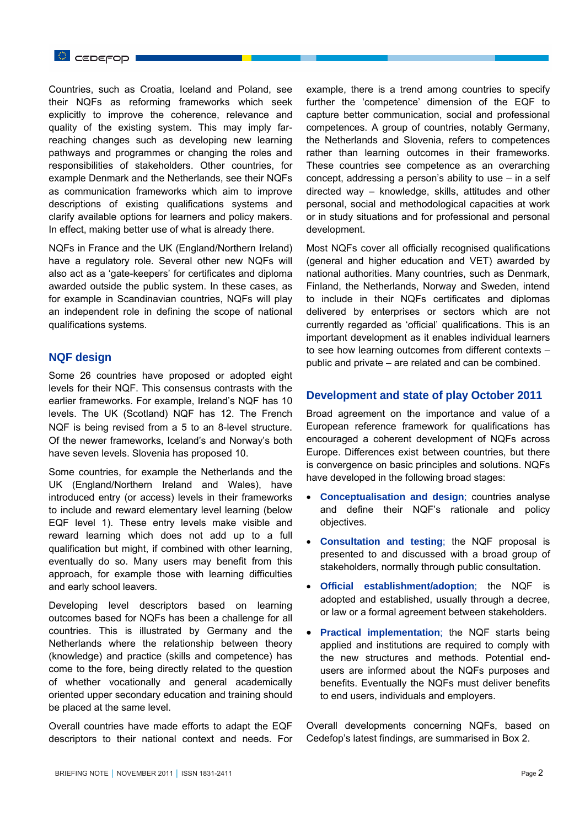Countries, such as Croatia, Iceland and Poland, see their NQFs as reforming frameworks which seek explicitly to improve the coherence, relevance and quality of the existing system. This may imply farreaching changes such as developing new learning pathways and programmes or changing the roles and responsibilities of stakeholders. Other countries, for example Denmark and the Netherlands, see their NQFs as communication frameworks which aim to improve descriptions of existing qualifications systems and clarify available options for learners and policy makers. In effect, making better use of what is already there.

NQFs in France and the UK (England/Northern Ireland) have a regulatory role. Several other new NQFs will also act as a 'gate-keepers' for certificates and diploma awarded outside the public system. In these cases, as for example in Scandinavian countries, NQFs will play an independent role in defining the scope of national qualifications systems.

### **NQF design**

Some 26 countries have proposed or adopted eight levels for their NQF. This consensus contrasts with the earlier frameworks. For example, Ireland's NQF has 10 levels. The UK (Scotland) NQF has 12. The French NQF is being revised from a 5 to an 8-level structure. Of the newer frameworks, Iceland's and Norway's both have seven levels. Slovenia has proposed 10.

Some countries, for example the Netherlands and the UK (England/Northern Ireland and Wales), have introduced entry (or access) levels in their frameworks to include and reward elementary level learning (below EQF level 1). These entry levels make visible and reward learning which does not add up to a full qualification but might, if combined with other learning, eventually do so. Many users may benefit from this approach, for example those with learning difficulties and early school leavers.

Developing level descriptors based on learning outcomes based for NQFs has been a challenge for all countries. This is illustrated by Germany and the Netherlands where the relationship between theory (knowledge) and practice (skills and competence) has come to the fore, being directly related to the question of whether vocationally and general academically oriented upper secondary education and training should be placed at the same level.

Overall countries have made efforts to adapt the EQF descriptors to their national context and needs. For example, there is a trend among countries to specify further the 'competence' dimension of the EQF to capture better communication, social and professional competences. A group of countries, notably Germany, the Netherlands and Slovenia, refers to competences rather than learning outcomes in their frameworks. These countries see competence as an overarching concept, addressing a person's ability to use – in a self directed way – knowledge, skills, attitudes and other personal, social and methodological capacities at work or in study situations and for professional and personal development.

Most NQFs cover all officially recognised qualifications (general and higher education and VET) awarded by national authorities. Many countries, such as Denmark, Finland, the Netherlands, Norway and Sweden, intend to include in their NQFs certificates and diplomas delivered by enterprises or sectors which are not currently regarded as 'official' qualifications. This is an important development as it enables individual learners to see how learning outcomes from different contexts – public and private – are related and can be combined.

## **Development and state of play October 2011**

Broad agreement on the importance and value of a European reference framework for qualifications has encouraged a coherent development of NQFs across Europe. Differences exist between countries, but there is convergence on basic principles and solutions. NQFs have developed in the following broad stages:

- **Conceptualisation and design**; countries analyse and define their NQF's rationale and policy objectives.
- **Consultation and testing**; the NQF proposal is presented to and discussed with a broad group of stakeholders, normally through public consultation.
- **Official establishment/adoption**; the NQF is adopted and established, usually through a decree, or law or a formal agreement between stakeholders.
- **Practical implementation**; the NQF starts being applied and institutions are required to comply with the new structures and methods. Potential endusers are informed about the NQFs purposes and benefits. Eventually the NQFs must deliver benefits to end users, individuals and employers.

Overall developments concerning NQFs, based on Cedefop's latest findings, are summarised in Box 2.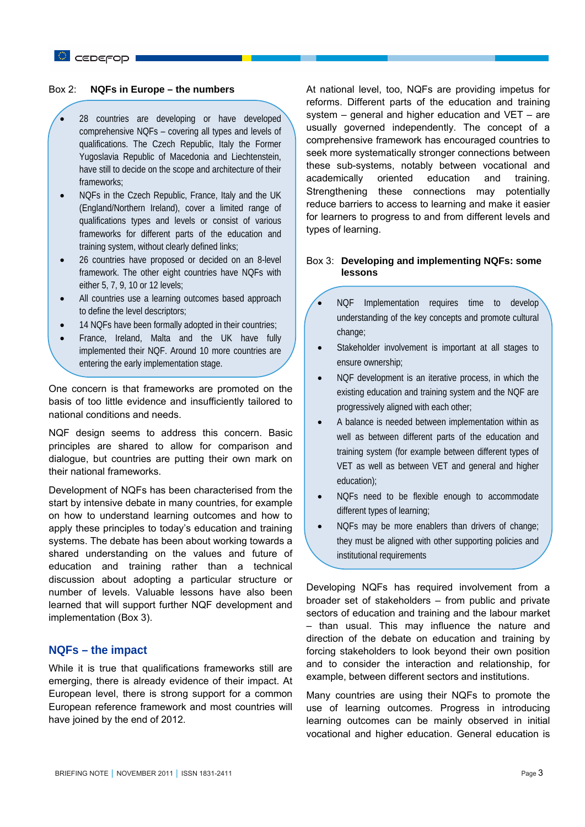## C CEDEFOD

#### Box 2: **NQFs in Europe – the numbers**

- 28 countries are developing or have developed comprehensive NQFs – covering all types and levels of qualifications. The Czech Republic, Italy the Former Yugoslavia Republic of Macedonia and Liechtenstein, have still to decide on the scope and architecture of their frameworks;
- NQFs in the Czech Republic, France, Italy and the UK (England/Northern Ireland), cover a limited range of qualifications types and levels or consist of various frameworks for different parts of the education and training system, without clearly defined links;
- 26 countries have proposed or decided on an 8-level framework. The other eight countries have NQFs with either 5, 7, 9, 10 or 12 levels;
- All countries use a learning outcomes based approach to define the level descriptors;
- 14 NQFs have been formally adopted in their countries;
- France, Ireland, Malta and the UK have fully implemented their NQF. Around 10 more countries are entering the early implementation stage.

One concern is that frameworks are promoted on the basis of too little evidence and insufficiently tailored to national conditions and needs.

NQF design seems to address this concern. Basic principles are shared to allow for comparison and dialogue, but countries are putting their own mark on their national frameworks.

Development of NQFs has been characterised from the start by intensive debate in many countries, for example on how to understand learning outcomes and how to apply these principles to today's education and training systems. The debate has been about working towards a shared understanding on the values and future of education and training rather than a technical discussion about adopting a particular structure or number of levels. Valuable lessons have also been learned that will support further NQF development and implementation (Box 3).

## **NQFs – the impact**

While it is true that qualifications frameworks still are emerging, there is already evidence of their impact. At European level, there is strong support for a common European reference framework and most countries will have joined by the end of 2012.

At national level, too, NQFs are providing impetus for reforms. Different parts of the education and training system – general and higher education and VET – are usually governed independently. The concept of a comprehensive framework has encouraged countries to seek more systematically stronger connections between these sub-systems, notably between vocational and academically oriented education and training. Strengthening these connections may potentially reduce barriers to access to learning and make it easier for learners to progress to and from different levels and types of learning.

#### Box 3: **Developing and implementing NQFs: some lessons**

- NQF Implementation requires time to develop understanding of the key concepts and promote cultural change;
- Stakeholder involvement is important at all stages to ensure ownership;
- NQF development is an iterative process, in which the existing education and training system and the NQF are progressively aligned with each other;
- A balance is needed between implementation within as well as between different parts of the education and training system (for example between different types of VET as well as between VET and general and higher education);
- NQFs need to be flexible enough to accommodate different types of learning;
- NQFs may be more enablers than drivers of change; they must be aligned with other supporting policies and institutional requirements

Developing NQFs has required involvement from a broader set of stakeholders – from public and private sectors of education and training and the labour market – than usual. This may influence the nature and direction of the debate on education and training by forcing stakeholders to look beyond their own position and to consider the interaction and relationship, for example, between different sectors and institutions.

Many countries are using their NQFs to promote the use of learning outcomes. Progress in introducing learning outcomes can be mainly observed in initial vocational and higher education. General education is